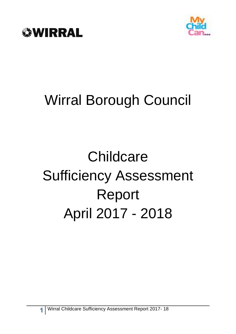



# Wirral Borough Council

# **Childcare** Sufficiency Assessment Report April 2017 - 2018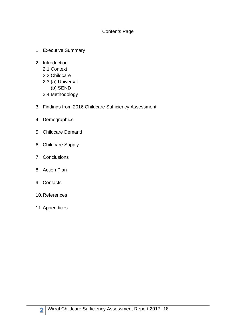#### Contents Page

- 1. Executive Summary
- 2. Introduction 2.1 Context 2.2 Childcare 2.3 (a) Universal
	- (b) SEND
	- 2.4 Methodology
- 3. Findings from 2016 Childcare Sufficiency Assessment
- 4. Demographics
- 5. Childcare Demand
- 6. Childcare Supply
- 7. Conclusions
- 8. Action Plan
- 9. Contacts
- 10.References
- 11.Appendices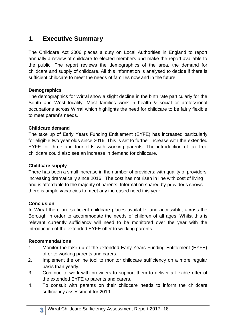# **1. Executive Summary**

The Childcare Act 2006 places a duty on Local Authorities in England to report annually a review of childcare to elected members and make the report available to the public. The report reviews the demographics of the area, the demand for childcare and supply of childcare. All this information is analysed to decide if there is sufficient childcare to meet the needs of families now and in the future.

#### **Demographics**

The demographics for Wirral show a slight decline in the birth rate particularly for the South and West locality. Most families work in health & social or professional occupations across Wirral which highlights the need for childcare to be fairly flexible to meet parent's needs.

## **Childcare demand**

The take up of Early Years Funding Entitlement (EYFE) has increased particularly for eligible two year olds since 2016. This is set to further increase with the extended EYFE for three and four olds with working parents. The introduction of tax free childcare could also see an increase in demand for childcare.

## **Childcare supply**

There has been a small increase in the number of providers; with quality of providers increasing dramatically since 2016. The cost has not risen in line with cost of living and is affordable to the majority of parents. Information shared by provider's shows there is ample vacancies to meet any increased need this year.

# **Conclusion**

In Wirral there are sufficient childcare places available, and accessible, across the Borough in order to accommodate the needs of children of all ages. Whilst this is relevant currently sufficiency will need to be monitored over the year with the introduction of the extended EYFE offer to working parents.

# **Recommendations**

- 1. Monitor the take up of the extended Early Years Funding Entitlement (EYFE) offer to working parents and carers.
- 2. Implement the online tool to monitor childcare sufficiency on a more regular basis than yearly.
- 3. Continue to work with providers to support them to deliver a flexible offer of the extended EYFE to parents and carers.
- 4. To consult with parents on their childcare needs to inform the childcare sufficiency assessment for 2019.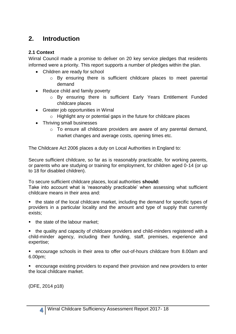# **2. Introduction**

## **2.1 Context**

Wirral Council made a promise to deliver on 20 key service pledges that residents informed were a priority. This report supports a number of pledges within the plan.

- Children are ready for school
	- $\circ$  By ensuring there is sufficient childcare places to meet parental demand
- Reduce child and family poverty
	- o By ensuring there is sufficient Early Years Entitlement Funded childcare places
- Greater job opportunities in Wirral
	- $\circ$  Highlight any or potential gaps in the future for childcare places
- Thriving small businesses
	- o To ensure all childcare providers are aware of any parental demand, market changes and average costs, opening times etc.

The Childcare Act 2006 places a duty on Local Authorities in England to:

Secure sufficient childcare, so far as is reasonably practicable, for working parents, or parents who are studying or training for employment, for children aged 0-14 (or up to 18 for disabled children).

To secure sufficient childcare places, local authorities **should:** 

Take into account what is 'reasonably practicable' when assessing what sufficient childcare means in their area and:

■ the state of the local childcare market, including the demand for specific types of providers in a particular locality and the amount and type of supply that currently exists;

- the state of the labour market;
- the quality and capacity of childcare providers and child-minders registered with a child-minder agency, including their funding, staff, premises, experience and expertise;

■ encourage schools in their area to offer out-of-hours childcare from 8.00am and 6.00pm;

■ encourage existing providers to expand their provision and new providers to enter the local childcare market.

(DFE, 2014 p18)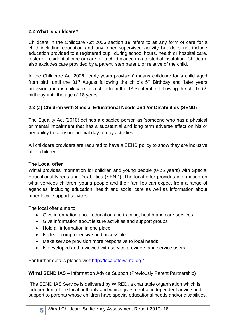# **2.2 What is childcare?**

Childcare in the Childcare Act 2006 section 18 refers to as any form of care for a child including education and any other supervised activity but does not include education provided to a registered pupil during school hours, health or hospital care, foster or residential care or care for a child placed in a custodial institution. Childcare also excludes care provided by a parent, step parent, or relative of the child.

In the Childcare Act 2006, 'early years provision' means childcare for a child aged from birth until the  $31<sup>st</sup>$  August following the child's  $5<sup>th</sup>$  Birthday and 'later years provision' means childcare for a child from the  $1<sup>st</sup>$  September following the child's  $5<sup>th</sup>$ birthday until the age of 18 years.

## **2.3 (a) Children with Special Educational Needs and /or Disabilities (SEND)**

The Equality Act (2010) defines a disabled person as 'someone who has a physical or mental impairment that has a substantial and long term adverse effect on his or her ability to carry out normal day-to-day activities.

All childcare providers are required to have a SEND policy to show they are inclusive of all children.

#### **The Local offer**

Wirral provides information for children and young people (0-25 years) with Special Educational Needs and Disabilities (SEND). The local offer provides information on what services children, young people and their families can expect from a range of agencies, including education, health and social care as well as information about other local, support services.

The local offer aims to:

- Give information about education and training, health and care services
- Give information about leisure activities and support groups
- Hold all information in one place
- Is clear, comprehensive and accessible
- Make service provision more responsive to local needs
- Is developed and reviewed with service providers and service users.

For further details please visit<http://localofferwirral.org/>

**Wirral SEND IAS** – Information Advice Support (Previously Parent Partnership)

The SEND IAS Service is delivered by WIRED, a charitable organisation which is independent of the local authority and which gives neutral independent advice and support to parents whose children have special educational needs and/or disabilities.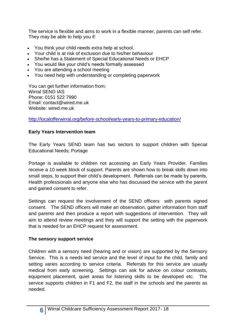The service is flexible and aims to work in a flexible manner, parents can self refer. They may be able to help you if:

- You think your child needs extra help at school.
- Your child is at risk of exclusion due to his/her behaviour
- She/he has a Statement of Special Educational Needs or EHCP
- You would like your child's needs formally assessed
- You are attending a school meeting
- You need help with understanding or completing paperwork

You can get further information from: Wirral SEND IAS Phone: 0151 522 7990 Email: contact@wired.me.uk Website: wired me uk

<http://localofferwirral.org/before-school/early-years-to-primary-education/>

# **Early Years Intervention team**

The Early Years SEND team has two sectors to support children with Special Educational Needs; Portage

Portage is available to children not accessing an Early Years Provider. Families receive a 10 week block of support. Parents are shown how to break skills down into small steps, to support their child's development. Referrals can be made by parents, Health professionals and anyone else who has discussed the service with the parent and gained consent to refer.

Settings can request the involvement of the SEND officers with parents signed consent. The SEND officers will make an observation, gather information from staff and parents and then produce a report with suggestions of intervention. They will aim to attend review meetings and they will support the setting with the paperwork that is needed for an EHCP request for assessment.

# **The sensory support service**

Children with a sensory need (hearing and or vision) are supported by the Sensory Service. This is a needs led service and the level of input for the child, family and setting varies according to service criteria. Referrals for this service are usually medical from early screening. Settings can ask for advice on colour contrasts, equipment placement, quiet areas for listening skills to be developed etc. The service supports children in F1 and F2, the staff in the schools and the parents as needed.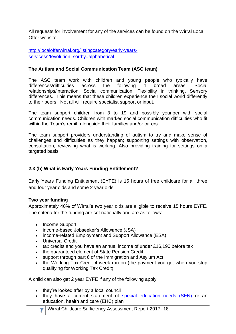All requests for involvement for any of the services can be found on the Wirral Local Offer website.

[http://localofferwirral.org/listingcategory/early-years](http://localofferwirral.org/listingcategory/early-years-services/?tevolution_sortby=alphabetical)[services/?tevolution\\_sortby=alphabetical](http://localofferwirral.org/listingcategory/early-years-services/?tevolution_sortby=alphabetical)

#### **The Autism and Social Communication Team (ASC team)**

The ASC team work with children and young people who typically have differences/difficulties across the following 4 broad areas: Social relationships/interaction, Social communication, Flexibility in thinking, Sensory differences. This means that these children experience their social world differently to their peers. Not all will require specialist support or input.

The team support children from 3 to 19 and possibly younger with social communication needs. Children with marked social communication difficulties who fit within the Team's remit, alongside their families and/or carers.

The team support providers understanding of autism to try and make sense of challenges and difficulties as they happen; supporting settings with observation, consultation, reviewing what is working. Also providing training for settings on a targeted basis.

### **2.3 (b) What is Early Years Funding Entitlement?**

Early Years Funding Entitlement (EYFE) is 15 hours of free childcare for all three and four year olds and some 2 year olds.

#### **Two year funding**

Approximately 40% of Wirral's two year olds are eligible to receive 15 hours EYFE. The criteria for the funding are set nationally and are as follows:

- Income Support
- income-based Jobseeker's Allowance (JSA)
- income-related Employment and Support Allowance (ESA)
- Universal Credit
- tax credits and you have an annual income of under £16,190 before tax
- the guaranteed element of State Pension Credit
- support through part 6 of the Immigration and Asylum Act
- the Working Tax Credit 4-week run on (the payment you get when you stop qualifying for Working Tax Credit)

A child can also get 2 year EYFE if any of the following apply:

- they're looked after by a local council
- they have a current statement of [special education needs \(SEN\)](https://www.gov.uk/children-with-special-educational-needs) or an education, health and care (EHC) plan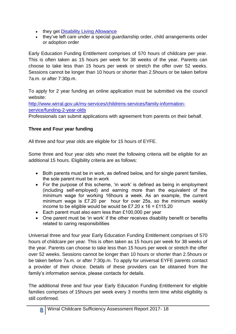- they get [Disability Living Allowance](https://www.gov.uk/disability-living-allowance-children)
- they've left care under a special guardianship order, child arrangements order or adoption order

Early Education Funding Entitlement comprises of 570 hours of childcare per year. This is often taken as 15 hours per week for 38 weeks of the year. Parents can choose to take less than 15 hours per week or stretch the offer over 52 weeks. Sessions cannot be longer than 10 hours or shorter than 2.5hours or be taken before 7a.m. or after 7:30p.m.

To apply for 2 year funding an online application must be submitted via the council website:

[http://www.wirral.gov.uk/my-services/childrens-services/family-information](http://www.wirral.gov.uk/my-services/childrens-services/family-information-service/funding-2-year-olds)[service/funding-2-year-olds](http://www.wirral.gov.uk/my-services/childrens-services/family-information-service/funding-2-year-olds)

Professionals can submit applications with agreement from parents on their behalf.

# **Three and Four year funding**

All three and four year olds are eligible for 15 hours of EYFE.

Some three and four year olds who meet the following criteria will be eligible for an additional 15 hours. Eligibility criteria are as follows:

- Both parents must be in work, as defined below, and for single parent families, the sole parent must be in work
- For the purpose of this scheme, 'in work' is defined as being in employment (including self-employed) and earning more than the equivalent of the minimum wage for working 16hours a week. As an example, the current minimum wage is £7.20 per hour for over 25s, so the minimum weekly income to be eligible would be would be £7.20 x  $16 = £115.20$
- Each parent must also earn less than £100,000 per year
- One parent must be 'in work' if the other receives disability benefit or benefits related to caring responsibilities

Universal three and four year Early Education Funding Entitlement comprises of 570 hours of childcare per year. This is often taken as 15 hours per week for 38 weeks of the year. Parents can choose to take less than 15 hours per week or stretch the offer over 52 weeks. Sessions cannot be longer than 10 hours or shorter than 2.5hours or be taken before 7a.m. or after 7:30p.m. To apply for universal EYFE parents contact a provider of their choice. Details of these providers can be obtained from the family's information service, please contacts for details.

The additional three and four year Early Education Funding Entitlement for eligible families comprises of 15hours per week every 3 months term time whilst eligibility is still confirmed.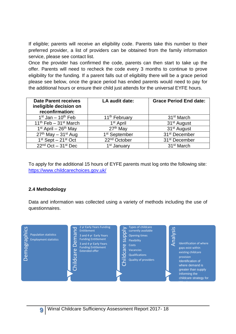If eligible; parents will receive an eligibility code. Parents take this number to their preferred provider, a list of providers can be obtained from the family information service, please see contact list.

Once the provider has confirmed the code, parents can then start to take up the offer. Parents will need to recheck the code every 3 months to continue to prove eligibility for the funding. If a parent falls out of eligibility there will be a grace period please see below, once the grace period has ended parents would need to pay for the additional hours or ensure their child just attends for the universal EYFE hours.

| <b>Date Parent receives</b><br>ineligible decision on<br>reconfirmation: | LA audit date:            | <b>Grace Period End date:</b> |
|--------------------------------------------------------------------------|---------------------------|-------------------------------|
| $1st$ Jan – $10th$ Feb                                                   | 11 <sup>th</sup> February | 31 <sup>st</sup> March        |
| $11th$ Feb - 31 <sup>st</sup> March                                      | 1 <sup>st</sup> April     | 31 <sup>st</sup> August       |
| $1st$ April – 26 <sup>th</sup> May                                       | 27 <sup>th</sup> May      | 31 <sup>st</sup> August       |
| $27th$ May $-31st$ Aug                                                   | 1 <sup>st</sup> September | 31 <sup>st</sup> December     |
| $1st$ Sept $-21st$ Oct                                                   | 22 <sup>nd</sup> October  | 31 <sup>st</sup> December     |
| $22nd$ Oct $-31st$ Dec                                                   | 1 <sup>st</sup> January   | 31 <sup>st</sup> March        |

To apply for the additional 15 hours of EYFE parents must log onto the following site: <https://www.childcarechoices.gov.uk/>

#### **2.4 Methodology**

Data and information was collected using a variety of methods including the use of questionnaires.

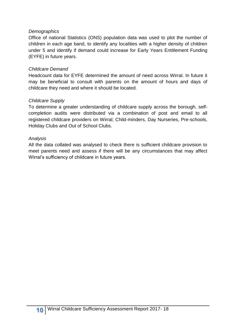#### *Demographics*

Office of national Statistics (ONS) population data was used to plot the number of children in each age band, to identify any localities with a higher density of children under 5 and identify if demand could increase for Early Years Entitlement Funding (EYFE) in future years.

#### *Childcare Demand*

Headcount data for EYFE determined the amount of need across Wirral. In future it may be beneficial to consult with parents on the amount of hours and days of childcare they need and where it should be located.

#### *Childcare Supply*

To determine a greater understanding of childcare supply across the borough, selfcompletion audits were distributed via a combination of post and email to all registered childcare providers on Wirral; Child-minders, Day Nurseries, Pre-schools, Holiday Clubs and Out of School Clubs.

#### *Analysis*

All the data collated was analysed to check there is sufficient childcare provision to meet parents need and assess if there will be any circumstances that may affect Wirral's sufficiency of childcare in future years.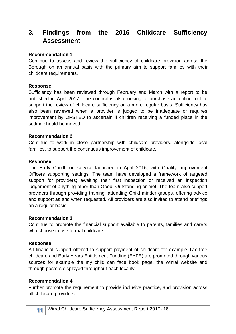# **3. Findings from the 2016 Childcare Sufficiency Assessment**

#### **Recommendation 1**

Continue to assess and review the sufficiency of childcare provision across the Borough on an annual basis with the primary aim to support families with their childcare requirements.

#### **Response**

Sufficiency has been reviewed through February and March with a report to be published in April 2017. The council is also looking to purchase an online tool to support the review of childcare sufficiency on a more regular basis. Sufficiency has also been reviewed when a provider is judged to be Inadequate or requires improvement by OFSTED to ascertain if children receiving a funded place in the setting should be moved.

#### **Recommendation 2**

Continue to work in close partnership with childcare providers, alongside local families, to support the continuous improvement of childcare.

#### **Response**

The Early Childhood service launched in April 2016; with Quality Improvement Officers supporting settings. The team have developed a framework of targeted support for providers; awaiting their first inspection or received an inspection judgement of anything other than Good, Outstanding or met. The team also support providers through providing training, attending Child minder groups, offering advice and support as and when requested. All providers are also invited to attend briefings on a regular basis.

#### **Recommendation 3**

Continue to promote the financial support available to parents, families and carers who choose to use formal childcare.

#### **Response**

All financial support offered to support payment of childcare for example Tax free childcare and Early Years Entitlement Funding (EYFE) are promoted through various sources for example the my child can face book page, the Wirral website and through posters displayed throughout each locality.

#### **Recommendation 4**

Further promote the requirement to provide inclusive practice, and provision across all childcare providers.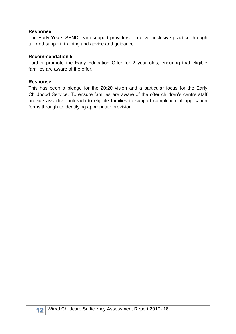#### **Response**

The Early Years SEND team support providers to deliver inclusive practice through tailored support, training and advice and guidance.

#### **Recommendation 5**

Further promote the Early Education Offer for 2 year olds, ensuring that eligible families are aware of the offer.

#### **Response**

This has been a pledge for the 20:20 vision and a particular focus for the Early Childhood Service. To ensure families are aware of the offer children's centre staff provide assertive outreach to eligible families to support completion of application forms through to identifying appropriate provision.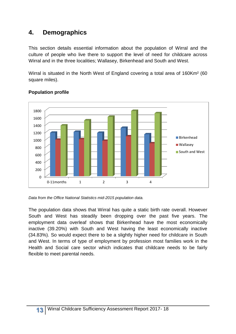# **4. Demographics**

This section details essential information about the population of Wirral and the culture of people who live there to support the level of need for childcare across Wirral and in the three localities; Wallasey, Birkenhead and South and West.

Wirral is situated in the North West of England covering a total area of 160Km² (60 square miles).



#### **Population profile**

*Data from the Office National Statistics mid-2015 population data.* 

The population data shows that Wirral has quite a static birth rate overall. However South and West has steadily been dropping over the past five years. The employment data overleaf shows that Birkenhead have the most economically inactive (39.20%) with South and West having the least economically inactive (34.83%). So would expect there to be a slightly higher need for childcare in South and West. In terms of type of employment by profession most families work in the Health and Social care sector which indicates that childcare needs to be fairly flexible to meet parental needs.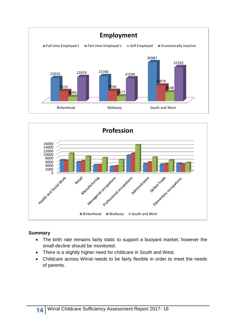



#### **Summary**

- The birth rate remains fairly static to support a buoyant market; however the small decline should be monitored.
- There is a slightly higher need for childcare in South and West.
- Childcare across Wirral needs to be fairly flexible in order to meet the needs of parents.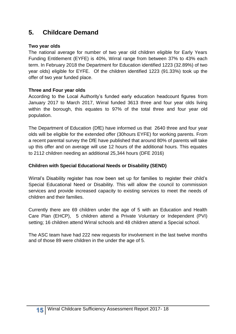# **5. Childcare Demand**

#### **Two year olds**

The national average for number of two year old children eligible for Early Years Funding Entitlement (EYFE) is 40%, Wirral range from between 37% to 43% each term. In February 2018 the Department for Education identified 1223 (32.89%) of two year olds) eligible for EYFE. Of the children identified 1223 (91.33%) took up the offer of two year funded place.

#### **Three and Four year olds**

According to the Local Authority's funded early education headcount figures from January 2017 to March 2017, Wirral funded 3613 three and four year olds living within the borough, this equates to 97% of the total three and four year old population.

The Department of Education (DfE) have informed us that 2640 three and four year olds will be eligible for the extended offer (30hours EYFE) for working parents. From a recent parental survey the DfE have published that around 80% of parents will take up this offer and on average will use 12 hours of the additional hours. This equates to 2112 children needing an additional 25,344 hours (DFE 2016)

#### **Children with Special Educational Needs or Disability (SEND)**

Wirral's Disability register has now been set up for families to register their child's Special Educational Need or Disability. This will allow the council to commission services and provide increased capacity to existing services to meet the needs of children and their families.

Currently there are 69 children under the age of 5 with an Education and Health Care Plan (EHCP), 5 children attend a Private Voluntary or Independent (PVI) setting; 16 children attend Wirral schools and 48 children attend a Special school.

The ASC team have had 222 new requests for involvement in the last twelve months and of those 89 were children in the under the age of 5.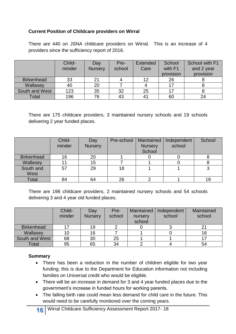#### **Current Position of Childcare providers on Wirral**

There are 440 on JSNA childcare providers on Wirral. This is an increase of 4 providers since the sufficiency report of 2016.

|                   | Child- | Day            | Pre-   | <b>Extended</b> | School    | School with F1 |
|-------------------|--------|----------------|--------|-----------------|-----------|----------------|
|                   | minder | <b>Nursery</b> | school | Care            | with F1   | and 2 year     |
|                   |        |                |        |                 | provision | provision      |
| <b>Birkenhead</b> | 33     | 21             |        |                 | 26        |                |
| Wallasey          | 40     | 20             |        |                 |           |                |
| South and West    | 123    | 35             | 32     | 25              | 17        |                |
| Total             | 196    | 76             | 43     |                 | 60        | 24             |

There are 175 childcare providers, 3 maintained nursery schools and 19 schools delivering 2 year funded places.

|                   | Child-<br>minder | Day<br><b>Nursery</b> | Pre-school | Maintained<br><b>Nursery</b><br>School | Independent<br>school | School |
|-------------------|------------------|-----------------------|------------|----------------------------------------|-----------------------|--------|
| <b>Birkenhead</b> | 16               | 20                    |            |                                        |                       |        |
| Wallasey          |                  | 15                    |            |                                        |                       |        |
| South and<br>West | 57               | 29                    | 18         |                                        |                       |        |
| Total             | 84               | 64                    | 26         |                                        |                       | 19     |

There are 198 childcare providers, 2 maintained nursery schools and 54 schools delivering 3 and 4 year old funded places.

|                   | Child-<br>minder | Day<br><b>Nursery</b> | Pre-<br>school | Maintained<br>nursery<br>school | Independent<br>school | Maintained<br>school |
|-------------------|------------------|-----------------------|----------------|---------------------------------|-----------------------|----------------------|
| <b>Birkenhead</b> |                  | 19                    |                |                                 |                       | 21                   |
| Wallasey          | 10               | 16                    |                |                                 |                       | 16                   |
| South and West    | 68               | 30                    | 25             |                                 |                       |                      |
| Total             | 95               | 65                    | 34             |                                 |                       | 54                   |

#### **Summary**

- There has been a reduction in the number of children eligible for two year funding; this is due to the Department for Education information not including families on Universal credit who would be eligible.
- There will be an increase in demand for 3 and 4 year funded places due to the government's increase in funded hours for working parents.
- The falling birth rate could mean less demand for child care in the future. This would need to be carefully monitored over the coming years.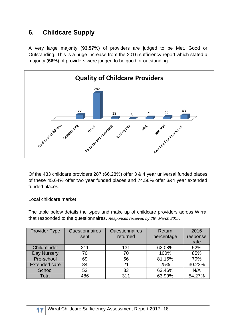# **6. Childcare Supply**

A very large majority (**93.57%**) of providers are judged to be Met, Good or Outstanding. This is a huge increase from the 2016 sufficiency report which stated a majority (**66%**) of providers were judged to be good or outstanding.



Of the 433 childcare providers 287 (66.28%) offer 3 & 4 year universal funded places of these 45.64% offer two year funded places and 74.56% offer 3&4 year extended funded places.

Local childcare market

The table below details the types and make up of childcare providers across Wirral that responded to the questionnaires. *Responses received by 28th March 2017.*

| Provider Type        | Questionnaires | Questionnaires | Return     | 2016     |
|----------------------|----------------|----------------|------------|----------|
|                      | sent           | returned       | percentage | response |
|                      |                |                |            | rate     |
| Childminder          | 211            | 131            | 62.08%     | 52%      |
| Day Nursery          | 70             | 70             | 100%       | 85%      |
| Pre-school           | 69             | 56             | 81.15%     | 79%      |
| <b>Extended care</b> | 84             | 21             | 25%        | 30.23%   |
| School               | 52             | 33             | 63.46%     | N/A      |
| Total                | 486            | 311            | 63.99%     | 54.27%   |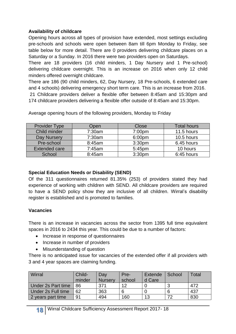# **Availability of childcare**

Opening hours across all types of provision have extended, most settings excluding pre-schools and schools were open between 8am till 6pm Monday to Friday, see table below for more detail. There are 0 providers delivering childcare places on a Saturday or a Sunday. In 2016 there were two providers open on Saturdays.

There are 18 providers (16 child minders, 1 Day Nursery and 1 Pre-school) delivering childcare overnight. This is an increase on 2016 when only 12 child minders offered overnight childcare.

There are 186 (90 child minders, 62, Day Nursery, 18 Pre-schools, 6 extended care and 4 schools) delivering emergency short term care. This is an increase from 2016.

21 Childcare providers deliver a flexible offer between 8:45am and 15:30pm and 174 childcare providers delivering a flexible offer outside of 8:45am and 15:30pm.

| <b>Provider Type</b> | Open   | Close              | <b>Total hours</b> |
|----------------------|--------|--------------------|--------------------|
| Child minder         | 7:30am | 7:00pm             | 11.5 hours         |
| <b>Day Nursery</b>   | 7:30am | 6:00pm             | 10.5 hours         |
| Pre-school           | 8:45am | 3:30 <sub>pm</sub> | 6.45 hours         |
| <b>Extended care</b> | 7:45am | 5:45pm             | 10 hours           |
| School               | 8:45am | 3:30 <sub>pm</sub> | 6:45 hours         |

Average opening hours of the following providers, Monday to Friday

# **Special Education Needs or Disability (SEND)**

Of the 311 questionnaires returned 81.35% (253) of providers stated they had experience of working with children with SEND. All childcare providers are required to have a SEND policy show they are inclusive of all children. Wirral's disability register is established and is promoted to families.

# **Vacancies**

There is an increase in vacancies across the sector from 1395 full time equivalent spaces in 2016 to 2434 this year. This could be due to a number of factors:

- Increase in response of questionnaires
- Increase in number of providers
- Misunderstanding of question

There is no anticipated issue for vacancies of the extended offer if all providers with 3 and 4 year spaces are claiming funding.

| Wirral             | Child-<br>minder | Day<br><b>Nurserv</b> | Pre-<br>school | Extende<br>d Care | School | Total |
|--------------------|------------------|-----------------------|----------------|-------------------|--------|-------|
| Under 2s Part time | 86               | 371                   | 1つ             |                   |        | 472   |
| Under 2s Full time | 62               | 363                   | 6              |                   |        | 437   |
| 2 years part time  | 91               | 494                   | 160            | 13                | 72     | 830   |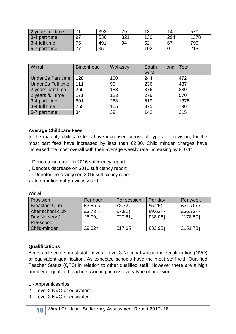| 2 years full time | 74 | 393 | 79  | 12<br>ιv | 14  | 570  |
|-------------------|----|-----|-----|----------|-----|------|
| 3-4 part time     | 97 | 536 | 321 | 130      | 294 | 1378 |
| 3-4 full time     | 76 | 491 | 94  | 62       | 67  | 790  |
| 5-7 part time     |    | 35  |     | 102      |     | 215  |

| Wirral             | <b>Birkenhead</b> | Wallasey | South<br>and<br>west | <b>Total</b> |
|--------------------|-------------------|----------|----------------------|--------------|
| Under 2s Part time | 128               | 100      | 244                  | 472          |
| Under 2s Full time | 111               | 90       | 236                  | 437          |
| 2 years part time  | 266               | 188      | 376                  | 830          |
| 2 years full time  | 171               | 123      | 276                  | 570          |
| 3-4 part time      | 501               | 258      | 619                  | 1378         |
| 3-4 full time      | 250               | 165      | 375                  | 790          |
| 5-7 part time      | 34                | 39       | 142                  | 215          |

#### **Average Childcare Fees**

In the majority childcare fees have increased across all types of provision, for the most part fees have increased by less than £2.00. Child minder charges have increased the most overall with their average weekly rate increasing by £10.11.

↑ Denotes increase on 2016 sufficiency report

↓ Denotes decrease on 2016 sufficiency report

 $\rightarrow$  Denotes no change on 2016 sufficiency report

 $\leftrightarrow$  Information not previously sort

| Provision             | Per hour                | Per session             | Per day                 | Per week                 |
|-----------------------|-------------------------|-------------------------|-------------------------|--------------------------|
| <b>Breakfast Club</b> | £3.85 $\leftrightarrow$ | £3.72 $\leftrightarrow$ | £5.25 $\uparrow$        | £21.70 $\leftrightarrow$ |
| After school club     | £3.73 $\rightarrow$     | £7.911                  | £9.63 $\leftrightarrow$ | £36.72 $\leftrightarrow$ |
| Day Nursery /         | £5.091                  | £20.81 $\downarrow$     | £38.061                 | £178.501                 |
| Pre-school            |                         |                         |                         |                          |
| <b>Child-minder</b>   | £9.021                  | £17.65 $\downarrow$     | £32.951                 | £151.781                 |

#### **Wirral**

#### **Qualifications**

Across all sectors most staff have a Level 3 National Vocational Qualification (NVQ) or equivalent qualification. As expected schools have the most staff with Qualified Teacher Status (QTS) in relation to other qualified staff. However there are a high number of qualified teachers working across every type of provision.

1 - Apprenticeships

- 2 Level 2 NVQ or equivalent
- 3 Level 3 NVQ or equivalent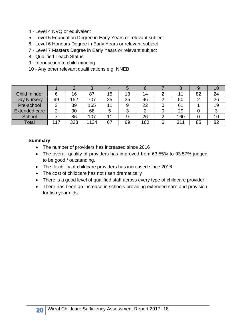- 4 Level 4 NVQ or equivalent
- 5 Level 5 Foundation Degree in Early Years or relevant subject
- 6 Level 6 Honours Degree in Early Years or relevant subject
- 7 Level 7 Masters Degree in Early Years or relevant subject
- 8 Qualified Teach Status
- 9 Introduction to child-minding
- 10 Any other relevant qualifications e.g. NNEB

|                      |     |     |      |    | b  | b   |     |    |    |
|----------------------|-----|-----|------|----|----|-----|-----|----|----|
| Child minder         |     | 16  | 87   | 15 | 13 | 14  |     | 82 | 24 |
| Day Nursery          | 99  | 152 | 707  | 25 | 35 | 96  | 50  |    | 26 |
| Pre-school           |     | 39  | 165  | 11 | 9  | 22  | 61  |    | 19 |
| <b>Extended care</b> |     | 30  | 68   | 5  |    |     | 29  |    |    |
| School               |     | 86  | 107  |    |    | 26  | 160 |    | 10 |
| <b>Total</b>         | 117 | 323 | 1134 | 67 | 69 | 160 | 311 | 85 | 82 |

#### **Summary**

- The number of providers has increased since 2016
- The overall quality of providers has improved from 63.55% to 93.57% judged to be good / outstanding.
- The flexibility of childcare providers has increased since 2016
- The cost of childcare has not risen dramatically
- There is a good level of qualified staff across every type of childcare provider.
- There has been an increase in schools providing extended care and provision for two year olds.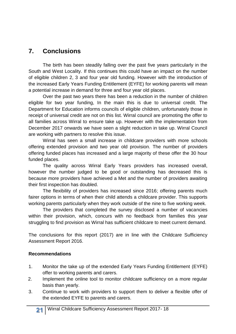# **7. Conclusions**

The birth has been steadily falling over the past five years particularly in the South and West Locality. If this continues this could have an impact on the number of eligible children 2, 3 and four year old funding. However with the introduction of the increased Early Years Funding Entitlement (EYFE) for working parents will mean a potential increase in demand for three and four year old places.

Over the past two years there has been a reduction in the number of children eligible for two year funding, In the main this is due to universal credit. The Department for Education informs councils of eligible children, unfortunately those in receipt of universal credit are not on this list. Wirral council are promoting the offer to all families across Wirral to ensure take up. However with the implementation from December 2017 onwards we have seen a slight reduction in take up. Wirral Council are working with partners to resolve this issue.

Wirral has seen a small increase in childcare providers with more schools offering extended provision and two year old provision. The number of providers offering funded places has increased and a large majority of these offer the 30 hour funded places.

The quality across Wirral Early Years providers has increased overall, however the number judged to be good or outstanding has decreased this is because more providers have achieved a Met and the number of providers awaiting their first inspection has doubled.

The flexibility of providers has increased since 2016; offering parents much fairer options in terms of when their child attends a childcare provider. This supports working parents particularly when they work outside of the nine to five working week.

The providers that completed the survey disclosed a number of vacancies within their provision, which, concurs with no feedback from families this year struggling to find provision as Wirral has sufficient childcare to meet current demand.

The conclusions for this report (2017) are in line with the Childcare Sufficiency Assessment Report 2016.

#### **Recommendations**

- 1. Monitor the take up of the extended Early Years Funding Entitlement (EYFE) offer to working parents and carers.
- 2. Implement the online tool to monitor childcare sufficiency on a more regular basis than yearly.
- 3. Continue to work with providers to support them to deliver a flexible offer of the extended EYFE to parents and carers.